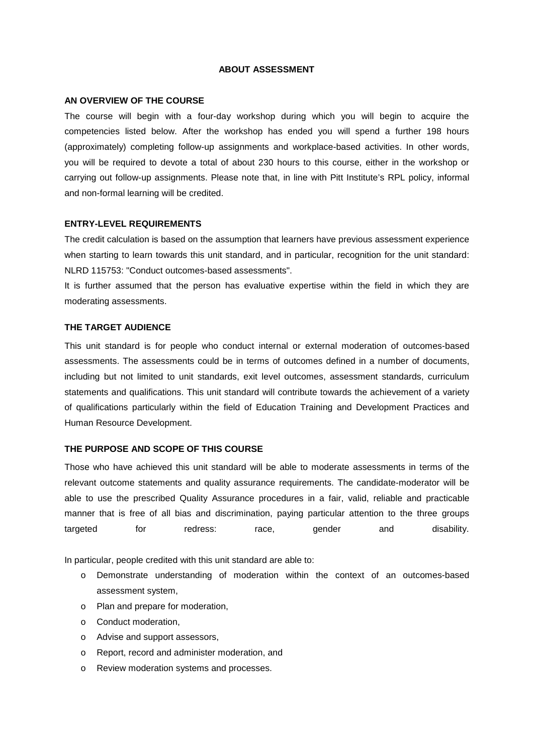### **ABOUT ASSESSMENT**

#### **AN OVERVIEW OF THE COURSE**

The course will begin with a four-day workshop during which you will begin to acquire the competencies listed below. After the workshop has ended you will spend a further 198 hours (approximately) completing follow-up assignments and workplace-based activities. In other words, you will be required to devote a total of about 230 hours to this course, either in the workshop or carrying out follow-up assignments. Please note that, in line with Pitt Institute's RPL policy, informal and non-formal learning will be credited.

#### **ENTRY-LEVEL REQUIREMENTS**

The credit calculation is based on the assumption that learners have previous assessment experience when starting to learn towards this unit standard, and in particular, recognition for the unit standard: NLRD 115753: "Conduct outcomes-based assessments".

It is further assumed that the person has evaluative expertise within the field in which they are moderating assessments.

#### **THE TARGET AUDIENCE**

This unit standard is for people who conduct internal or external moderation of outcomes-based assessments. The assessments could be in terms of outcomes defined in a number of documents, including but not limited to unit standards, exit level outcomes, assessment standards, curriculum statements and qualifications. This unit standard will contribute towards the achievement of a variety of qualifications particularly within the field of Education Training and Development Practices and Human Resource Development.

### **THE PURPOSE AND SCOPE OF THIS COURSE**

Those who have achieved this unit standard will be able to moderate assessments in terms of the relevant outcome statements and quality assurance requirements. The candidate-moderator will be able to use the prescribed Quality Assurance procedures in a fair, valid, reliable and practicable manner that is free of all bias and discrimination, paying particular attention to the three groups targeted for redress: race, gender and disability.

In particular, people credited with this unit standard are able to:

- o Demonstrate understanding of moderation within the context of an outcomes-based assessment system,
- o Plan and prepare for moderation,
- o Conduct moderation,
- o Advise and support assessors,
- o Report, record and administer moderation, and
- o Review moderation systems and processes.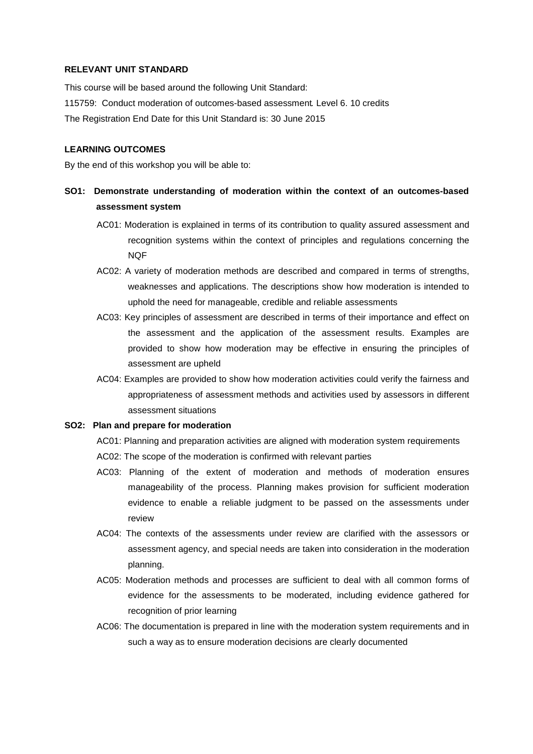### **RELEVANT UNIT STANDARD**

This course will be based around the following Unit Standard: 115759: Conduct moderation of outcomes-based assessment*.* Level 6. 10 credits The Registration End Date for this Unit Standard is: 30 June 2015

## **LEARNING OUTCOMES**

By the end of this workshop you will be able to:

- **SO1: Demonstrate understanding of moderation within the context of an outcomes-based assessment system** 
	- AC01: Moderation is explained in terms of its contribution to quality assured assessment and recognition systems within the context of principles and regulations concerning the NQF
	- AC02: A variety of moderation methods are described and compared in terms of strengths, weaknesses and applications. The descriptions show how moderation is intended to uphold the need for manageable, credible and reliable assessments
	- AC03: Key principles of assessment are described in terms of their importance and effect on the assessment and the application of the assessment results. Examples are provided to show how moderation may be effective in ensuring the principles of assessment are upheld
	- AC04: Examples are provided to show how moderation activities could verify the fairness and appropriateness of assessment methods and activities used by assessors in different assessment situations

#### **SO2: Plan and prepare for moderation**

AC01: Planning and preparation activities are aligned with moderation system requirements

- AC02: The scope of the moderation is confirmed with relevant parties
- AC03: Planning of the extent of moderation and methods of moderation ensures manageability of the process. Planning makes provision for sufficient moderation evidence to enable a reliable judgment to be passed on the assessments under review
- AC04: The contexts of the assessments under review are clarified with the assessors or assessment agency, and special needs are taken into consideration in the moderation planning.
- AC05: Moderation methods and processes are sufficient to deal with all common forms of evidence for the assessments to be moderated, including evidence gathered for recognition of prior learning
- AC06: The documentation is prepared in line with the moderation system requirements and in such a way as to ensure moderation decisions are clearly documented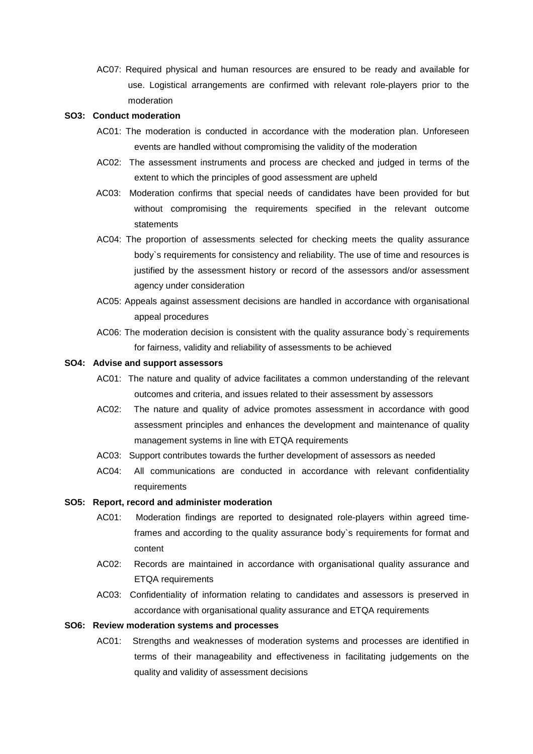AC07: Required physical and human resources are ensured to be ready and available for use. Logistical arrangements are confirmed with relevant role-players prior to the moderation

#### **SO3: Conduct moderation**

- AC01: The moderation is conducted in accordance with the moderation plan. Unforeseen events are handled without compromising the validity of the moderation
- AC02: The assessment instruments and process are checked and judged in terms of the extent to which the principles of good assessment are upheld
- AC03: Moderation confirms that special needs of candidates have been provided for but without compromising the requirements specified in the relevant outcome statements
- AC04: The proportion of assessments selected for checking meets the quality assurance body`s requirements for consistency and reliability. The use of time and resources is justified by the assessment history or record of the assessors and/or assessment agency under consideration
- AC05: Appeals against assessment decisions are handled in accordance with organisational appeal procedures
- AC06: The moderation decision is consistent with the quality assurance body`s requirements for fairness, validity and reliability of assessments to be achieved

# **SO4: Advise and support assessors**

- AC01: The nature and quality of advice facilitates a common understanding of the relevant outcomes and criteria, and issues related to their assessment by assessors
- AC02: The nature and quality of advice promotes assessment in accordance with good assessment principles and enhances the development and maintenance of quality management systems in line with ETQA requirements
- AC03: Support contributes towards the further development of assessors as needed
- AC04: All communications are conducted in accordance with relevant confidentiality requirements

### **SO5: Report, record and administer moderation**

- AC01: Moderation findings are reported to designated role-players within agreed timeframes and according to the quality assurance body`s requirements for format and content
- AC02: Records are maintained in accordance with organisational quality assurance and ETQA requirements
- AC03: Confidentiality of information relating to candidates and assessors is preserved in accordance with organisational quality assurance and ETQA requirements

## **SO6: Review moderation systems and processes**

AC01: Strengths and weaknesses of moderation systems and processes are identified in terms of their manageability and effectiveness in facilitating judgements on the quality and validity of assessment decisions